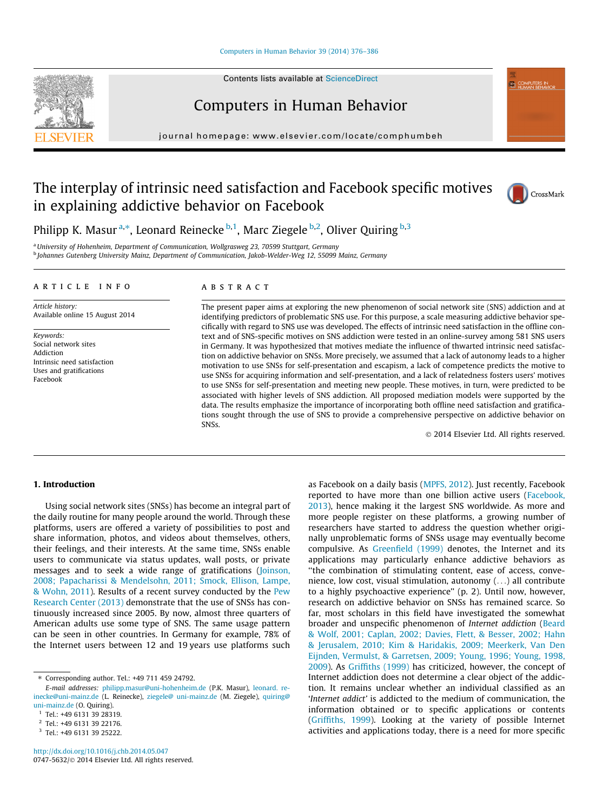#### [Computers in Human Behavior 39 \(2014\) 376–386](http://dx.doi.org/10.1016/j.chb.2014.05.047)

Contents lists available at [ScienceDirect](http://www.sciencedirect.com/science/journal/07475632)

Computers in Human Behavior

journal homepage: [www.elsevier.com/locate/comphumbeh](http://www.elsevier.com/locate/comphumbeh)

## The interplay of intrinsic need satisfaction and Facebook specific motives in explaining addictive behavior on Facebook



**ED COMPUTERS IN** 

Philipp K. Masur <sup>a,\*</sup>, Leonard Reinecke <sup>b,1</sup>, Marc Ziegele <sup>b,2</sup>, Oliver Quiring <sup>b,3</sup>

a University of Hohenheim, Department of Communication, Wollgrasweg 23, 70599 Stuttgart, Germany <sup>b</sup> Johannes Gutenberg University Mainz, Department of Communication, Jakob-Welder-Weg 12, 55099 Mainz, Germany

#### article info

Article history: Available online 15 August 2014

Keywords: Social network sites Addiction Intrinsic need satisfaction Uses and gratifications Facebook

## ABSTRACT

The present paper aims at exploring the new phenomenon of social network site (SNS) addiction and at identifying predictors of problematic SNS use. For this purpose, a scale measuring addictive behavior specifically with regard to SNS use was developed. The effects of intrinsic need satisfaction in the offline context and of SNS-specific motives on SNS addiction were tested in an online-survey among 581 SNS users in Germany. It was hypothesized that motives mediate the influence of thwarted intrinsic need satisfaction on addictive behavior on SNSs. More precisely, we assumed that a lack of autonomy leads to a higher motivation to use SNSs for self-presentation and escapism, a lack of competence predicts the motive to use SNSs for acquiring information and self-presentation, and a lack of relatedness fosters users' motives to use SNSs for self-presentation and meeting new people. These motives, in turn, were predicted to be associated with higher levels of SNS addiction. All proposed mediation models were supported by the data. The results emphasize the importance of incorporating both offline need satisfaction and gratifications sought through the use of SNS to provide a comprehensive perspective on addictive behavior on SNSs.

- 2014 Elsevier Ltd. All rights reserved.

## 1. Introduction

Using social network sites (SNSs) has become an integral part of the daily routine for many people around the world. Through these platforms, users are offered a variety of possibilities to post and share information, photos, and videos about themselves, others, their feelings, and their interests. At the same time, SNSs enable users to communicate via status updates, wall posts, or private messages and to seek a wide range of gratifications [\(Joinson,](#page--1-0) [2008; Papacharissi & Mendelsohn, 2011; Smock, Ellison, Lampe,](#page--1-0) [& Wohn, 2011](#page--1-0)). Results of a recent survey conducted by the [Pew](#page--1-0) [Research Center \(2013\)](#page--1-0) demonstrate that the use of SNSs has continuously increased since 2005. By now, almost three quarters of American adults use some type of SNS. The same usage pattern can be seen in other countries. In Germany for example, 78% of the Internet users between 12 and 19 years use platforms such as Facebook on a daily basis [\(MPFS, 2012](#page--1-0)). Just recently, Facebook reported to have more than one billion active users ([Facebook,](#page--1-0) [2013\)](#page--1-0), hence making it the largest SNS worldwide. As more and more people register on these platforms, a growing number of researchers have started to address the question whether originally unproblematic forms of SNSs usage may eventually become compulsive. As [Greenfield \(1999\)](#page--1-0) denotes, the Internet and its applications may particularly enhance addictive behaviors as ''the combination of stimulating content, ease of access, convenience, low cost, visual stimulation, autonomy (...) all contribute to a highly psychoactive experience'' (p. 2). Until now, however, research on addictive behavior on SNSs has remained scarce. So far, most scholars in this field have investigated the somewhat broader and unspecific phenomenon of Internet addiction [\(Beard](#page--1-0) [& Wolf, 2001; Caplan, 2002; Davies, Flett, & Besser, 2002; Hahn](#page--1-0) [& Jerusalem, 2010; Kim & Haridakis, 2009; Meerkerk, Van Den](#page--1-0) [Eijnden, Vermulst, & Garretsen, 2009; Young, 1996; Young, 1998,](#page--1-0) [2009\)](#page--1-0). As [Griffiths \(1999\)](#page--1-0) has criticized, however, the concept of Internet addiction does not determine a clear object of the addiction. It remains unclear whether an individual classified as an 'Internet addict' is addicted to the medium of communication, the information obtained or to specific applications or contents ([Griffiths, 1999\)](#page--1-0). Looking at the variety of possible Internet activities and applications today, there is a need for more specific



<sup>⇑</sup> Corresponding author. Tel.: +49 711 459 24792.

E-mail addresses: [philipp.masur@uni-hohenheim.de](mailto:philipp.masur@uni-hohenheim.de) (P.K. Masur), [leonard. re](mailto:leonard.reinecke@uni-mainz.de)[inecke@uni-mainz.de](mailto:leonard.reinecke@uni-mainz.de) (L. Reinecke), [ziegele@ uni-mainz.de](mailto:ziegele@uni-mainz.de) (M. Ziegele), [quiring@](mailto:quiring@uni-mainz.de) [uni-mainz.de](mailto:quiring@uni-mainz.de) (O. Quiring).

<sup>1</sup> Tel.: +49 6131 39 28319.

<sup>2</sup> Tel.: +49 6131 39 22176.

<sup>3</sup> Tel.: +49 6131 39 25222.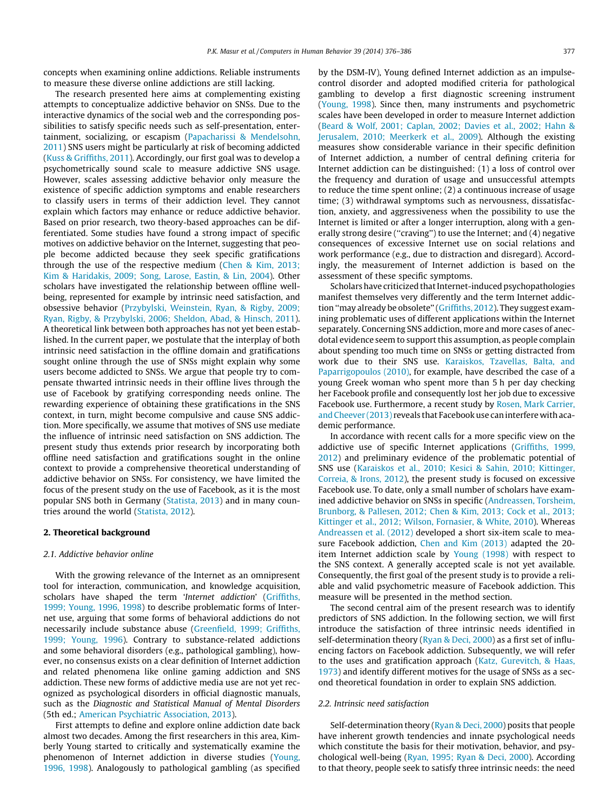concepts when examining online addictions. Reliable instruments to measure these diverse online addictions are still lacking.

The research presented here aims at complementing existing attempts to conceptualize addictive behavior on SNSs. Due to the interactive dynamics of the social web and the corresponding possibilities to satisfy specific needs such as self-presentation, entertainment, socializing, or escapism ([Papacharissi & Mendelsohn,](#page--1-0) [2011\)](#page--1-0) SNS users might be particularly at risk of becoming addicted ([Kuss & Griffiths, 2011](#page--1-0)). Accordingly, our first goal was to develop a psychometrically sound scale to measure addictive SNS usage. However, scales assessing addictive behavior only measure the existence of specific addiction symptoms and enable researchers to classify users in terms of their addiction level. They cannot explain which factors may enhance or reduce addictive behavior. Based on prior research, two theory-based approaches can be differentiated. Some studies have found a strong impact of specific motives on addictive behavior on the Internet, suggesting that people become addicted because they seek specific gratifications through the use of the respective medium ([Chen & Kim, 2013;](#page--1-0) [Kim & Haridakis, 2009; Song, Larose, Eastin, & Lin, 2004\)](#page--1-0). Other scholars have investigated the relationship between offline wellbeing, represented for example by intrinsic need satisfaction, and obsessive behavior [\(Przybylski, Weinstein, Ryan, & Rigby, 2009;](#page--1-0) [Ryan, Rigby, & Przybylski, 2006; Sheldon, Abad, & Hinsch, 2011\)](#page--1-0). A theoretical link between both approaches has not yet been established. In the current paper, we postulate that the interplay of both intrinsic need satisfaction in the offline domain and gratifications sought online through the use of SNSs might explain why some users become addicted to SNSs. We argue that people try to compensate thwarted intrinsic needs in their offline lives through the use of Facebook by gratifying corresponding needs online. The rewarding experience of obtaining these gratifications in the SNS context, in turn, might become compulsive and cause SNS addiction. More specifically, we assume that motives of SNS use mediate the influence of intrinsic need satisfaction on SNS addiction. The present study thus extends prior research by incorporating both offline need satisfaction and gratifications sought in the online context to provide a comprehensive theoretical understanding of addictive behavior on SNSs. For consistency, we have limited the focus of the present study on the use of Facebook, as it is the most popular SNS both in Germany [\(Statista, 2013\)](#page--1-0) and in many countries around the world [\(Statista, 2012\)](#page--1-0).

### 2. Theoretical background

#### 2.1. Addictive behavior online

With the growing relevance of the Internet as an omnipresent tool for interaction, communication, and knowledge acquisition, scholars have shaped the term 'Internet addiction' ([Griffiths,](#page--1-0) [1999; Young, 1996, 1998\)](#page--1-0) to describe problematic forms of Internet use, arguing that some forms of behavioral addictions do not necessarily include substance abuse ([Greenfield, 1999; Griffiths,](#page--1-0) [1999; Young, 1996](#page--1-0)). Contrary to substance-related addictions and some behavioral disorders (e.g., pathological gambling), however, no consensus exists on a clear definition of Internet addiction and related phenomena like online gaming addiction and SNS addiction. These new forms of addictive media use are not yet recognized as psychological disorders in official diagnostic manuals, such as the Diagnostic and Statistical Manual of Mental Disorders (5th ed.; [American Psychiatric Association, 2013\)](#page--1-0).

First attempts to define and explore online addiction date back almost two decades. Among the first researchers in this area, Kimberly Young started to critically and systematically examine the phenomenon of Internet addiction in diverse studies ([Young,](#page--1-0) [1996, 1998](#page--1-0)). Analogously to pathological gambling (as specified by the DSM-IV), Young defined Internet addiction as an impulsecontrol disorder and adopted modified criteria for pathological gambling to develop a first diagnostic screening instrument ([Young, 1998](#page--1-0)). Since then, many instruments and psychometric scales have been developed in order to measure Internet addiction ([Beard & Wolf, 2001; Caplan, 2002; Davies et al., 2002; Hahn &](#page--1-0) [Jerusalem, 2010; Meerkerk et al., 2009\)](#page--1-0). Although the existing measures show considerable variance in their specific definition of Internet addiction, a number of central defining criteria for Internet addiction can be distinguished: (1) a loss of control over the frequency and duration of usage and unsuccessful attempts to reduce the time spent online; (2) a continuous increase of usage time; (3) withdrawal symptoms such as nervousness, dissatisfaction, anxiety, and aggressiveness when the possibility to use the Internet is limited or after a longer interruption, along with a generally strong desire (''craving'') to use the Internet; and (4) negative consequences of excessive Internet use on social relations and work performance (e.g., due to distraction and disregard). Accordingly, the measurement of Internet addiction is based on the assessment of these specific symptoms.

Scholars have criticized that Internet-induced psychopathologies manifest themselves very differently and the term Internet addiction ''may already be obsolete'' [\(Griffiths, 2012\)](#page--1-0). They suggest examining problematic uses of different applications within the Internet separately. Concerning SNS addiction, more and more cases of anecdotal evidence seem to support this assumption, as people complain about spending too much time on SNSs or getting distracted from work due to their SNS use. [Karaiskos, Tzavellas, Balta, and](#page--1-0) [Paparrigopoulos \(2010\)](#page--1-0), for example, have described the case of a young Greek woman who spent more than 5 h per day checking her Facebook profile and consequently lost her job due to excessive Facebook use. Furthermore, a recent study by [Rosen, Mark Carrier,](#page--1-0) [and Cheever \(2013\)](#page--1-0) reveals that Facebook use can interfere with academic performance.

In accordance with recent calls for a more specific view on the addictive use of specific Internet applications ([Griffiths, 1999,](#page--1-0) [2012](#page--1-0)) and preliminary evidence of the problematic potential of SNS use ([Karaiskos et al., 2010; Kesici & Sahin, 2010; Kittinger,](#page--1-0) [Correia, & Irons, 2012](#page--1-0)), the present study is focused on excessive Facebook use. To date, only a small number of scholars have examined addictive behavior on SNSs in specific ([Andreassen, Torsheim,](#page--1-0) [Brunborg, & Pallesen, 2012; Chen & Kim, 2013; Cock et al., 2013;](#page--1-0) [Kittinger et al., 2012; Wilson, Fornasier, & White, 2010\)](#page--1-0). Whereas [Andreassen et al. \(2012\)](#page--1-0) developed a short six-item scale to measure Facebook addiction, [Chen and Kim \(2013\)](#page--1-0) adapted the 20 item Internet addiction scale by [Young \(1998\)](#page--1-0) with respect to the SNS context. A generally accepted scale is not yet available. Consequently, the first goal of the present study is to provide a reliable and valid psychometric measure of Facebook addiction. This measure will be presented in the method section.

The second central aim of the present research was to identify predictors of SNS addiction. In the following section, we will first introduce the satisfaction of three intrinsic needs identified in self-determination theory ([Ryan & Deci, 2000](#page--1-0)) as a first set of influencing factors on Facebook addiction. Subsequently, we will refer to the uses and gratification approach [\(Katz, Gurevitch, & Haas,](#page--1-0) [1973\)](#page--1-0) and identify different motives for the usage of SNSs as a second theoretical foundation in order to explain SNS addiction.

#### 2.2. Intrinsic need satisfaction

Self-determination theory [\(Ryan & Deci, 2000\)](#page--1-0) posits that people have inherent growth tendencies and innate psychological needs which constitute the basis for their motivation, behavior, and psychological well-being ([Ryan, 1995; Ryan & Deci, 2000\)](#page--1-0). According to that theory, people seek to satisfy three intrinsic needs: the need